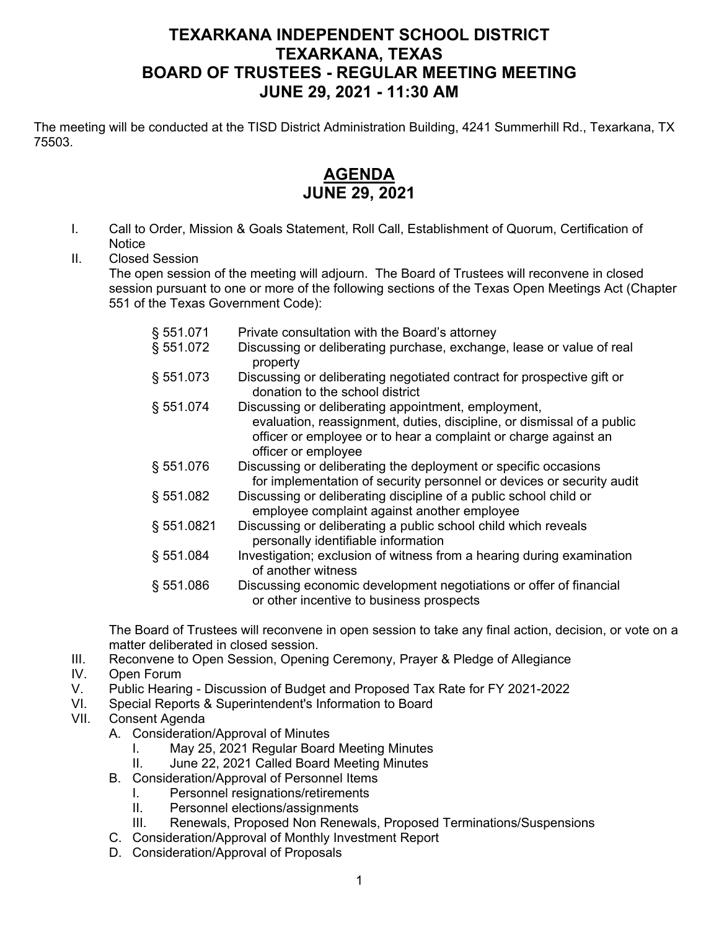## **TEXARKANA INDEPENDENT SCHOOL DISTRICT TEXARKANA, TEXAS BOARD OF TRUSTEES - REGULAR MEETING MEETING JUNE 29, 2021 - 11:30 AM**

The meeting will be conducted at the TISD District Administration Building, 4241 Summerhill Rd., Texarkana, TX 75503.

## **AGENDA JUNE 29, 2021**

- I. Call to Order, Mission & Goals Statement, Roll Call, Establishment of Quorum, Certification of **Notice**
- II. Closed Session

The open session of the meeting will adjourn. The Board of Trustees will reconvene in closed session pursuant to one or more of the following sections of the Texas Open Meetings Act (Chapter 551 of the Texas Government Code):

| § 551.071  | Private consultation with the Board's attorney                                                                                                                                                                          |
|------------|-------------------------------------------------------------------------------------------------------------------------------------------------------------------------------------------------------------------------|
| § 551.072  | Discussing or deliberating purchase, exchange, lease or value of real<br>property                                                                                                                                       |
| § 551.073  | Discussing or deliberating negotiated contract for prospective gift or<br>donation to the school district                                                                                                               |
| § 551.074  | Discussing or deliberating appointment, employment,<br>evaluation, reassignment, duties, discipline, or dismissal of a public<br>officer or employee or to hear a complaint or charge against an<br>officer or employee |
| § 551.076  | Discussing or deliberating the deployment or specific occasions<br>for implementation of security personnel or devices or security audit                                                                                |
| § 551.082  | Discussing or deliberating discipline of a public school child or<br>employee complaint against another employee                                                                                                        |
| § 551.0821 | Discussing or deliberating a public school child which reveals<br>personally identifiable information                                                                                                                   |
| § 551.084  | Investigation; exclusion of witness from a hearing during examination<br>of another witness                                                                                                                             |
| § 551.086  | Discussing economic development negotiations or offer of financial<br>or other incentive to business prospects                                                                                                          |

The Board of Trustees will reconvene in open session to take any final action, decision, or vote on a matter deliberated in closed session.

- III. Reconvene to Open Session, Opening Ceremony, Prayer & Pledge of Allegiance
- IV. Open Forum
- V. Public Hearing Discussion of Budget and Proposed Tax Rate for FY 2021-2022
- VI. Special Reports & Superintendent's Information to Board
- VII. Consent Agenda
	- A. Consideration/Approval of Minutes
		- I. May 25, 2021 Regular Board Meeting Minutes
		- II. June 22, 2021 Called Board Meeting Minutes
	- B. Consideration/Approval of Personnel Items
		- I. Personnel resignations/retirements
		- II. Personnel elections/assignments
		- III. Renewals, Proposed Non Renewals, Proposed Terminations/Suspensions
	- C. Consideration/Approval of Monthly Investment Report
	- D. Consideration/Approval of Proposals